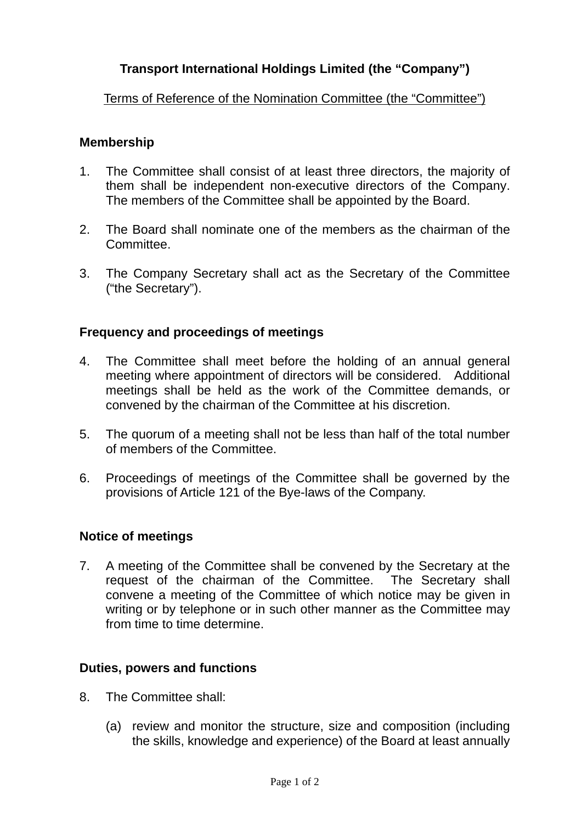# **Transport International Holdings Limited (the "Company")**

## Terms of Reference of the Nomination Committee (the "Committee")

## **Membership**

- 1. The Committee shall consist of at least three directors, the majority of them shall be independent non-executive directors of the Company. The members of the Committee shall be appointed by the Board.
- 2. The Board shall nominate one of the members as the chairman of the **Committee**
- 3. The Company Secretary shall act as the Secretary of the Committee ("the Secretary").

## **Frequency and proceedings of meetings**

- 4. The Committee shall meet before the holding of an annual general meeting where appointment of directors will be considered. Additional meetings shall be held as the work of the Committee demands, or convened by the chairman of the Committee at his discretion.
- 5. The quorum of a meeting shall not be less than half of the total number of members of the Committee.
- 6. Proceedings of meetings of the Committee shall be governed by the provisions of Article 121 of the Bye-laws of the Company.

### **Notice of meetings**

7. A meeting of the Committee shall be convened by the Secretary at the request of the chairman of the Committee. The Secretary shall convene a meeting of the Committee of which notice may be given in writing or by telephone or in such other manner as the Committee may from time to time determine.

### **Duties, powers and functions**

- 8. The Committee shall:
	- (a) review and monitor the structure, size and composition (including the skills, knowledge and experience) of the Board at least annually